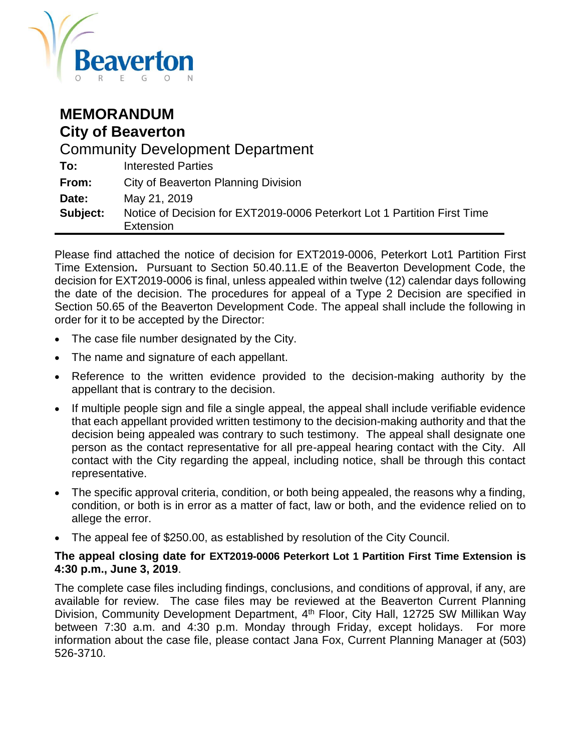

| <b>MEMORANDUM</b><br><b>City of Beaverton</b> |                                                                                       |  |  |  |
|-----------------------------------------------|---------------------------------------------------------------------------------------|--|--|--|
| <b>Community Development Department</b>       |                                                                                       |  |  |  |
| To:                                           | <b>Interested Parties</b>                                                             |  |  |  |
| From:                                         | <b>City of Beaverton Planning Division</b>                                            |  |  |  |
| Date:                                         | May 21, 2019                                                                          |  |  |  |
| Subject:                                      | Notice of Decision for EXT2019-0006 Peterkort Lot 1 Partition First Time<br>Extension |  |  |  |

Please find attached the notice of decision for EXT2019-0006, Peterkort Lot1 Partition First Time Extension**.** Pursuant to Section 50.40.11.E of the Beaverton Development Code, the decision for EXT2019-0006 is final, unless appealed within twelve (12) calendar days following the date of the decision. The procedures for appeal of a Type 2 Decision are specified in Section 50.65 of the Beaverton Development Code. The appeal shall include the following in order for it to be accepted by the Director:

- The case file number designated by the City.
- The name and signature of each appellant.
- Reference to the written evidence provided to the decision-making authority by the appellant that is contrary to the decision.
- If multiple people sign and file a single appeal, the appeal shall include verifiable evidence that each appellant provided written testimony to the decision-making authority and that the decision being appealed was contrary to such testimony. The appeal shall designate one person as the contact representative for all pre-appeal hearing contact with the City. All contact with the City regarding the appeal, including notice, shall be through this contact representative.
- The specific approval criteria, condition, or both being appealed, the reasons why a finding, condition, or both is in error as a matter of fact, law or both, and the evidence relied on to allege the error.
- The appeal fee of \$250.00, as established by resolution of the City Council.

## **The appeal closing date for EXT2019-0006 Peterkort Lot 1 Partition First Time Extension is 4:30 p.m., June 3, 2019**.

The complete case files including findings, conclusions, and conditions of approval, if any, are available for review. The case files may be reviewed at the Beaverton Current Planning Division, Community Development Department, 4<sup>th</sup> Floor, City Hall, 12725 SW Millikan Way between 7:30 a.m. and 4:30 p.m. Monday through Friday, except holidays. For more information about the case file, please contact Jana Fox, Current Planning Manager at (503) 526-3710.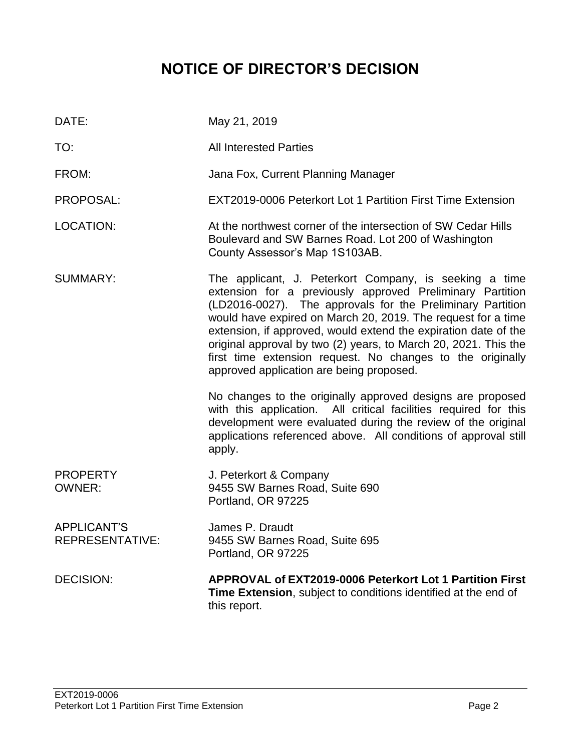# **NOTICE OF DIRECTOR'S DECISION**

| DATE:                                 | May 21, 2019                                                                                                                                                                                                                                                                                                                                                                                                                                                                                      |
|---------------------------------------|---------------------------------------------------------------------------------------------------------------------------------------------------------------------------------------------------------------------------------------------------------------------------------------------------------------------------------------------------------------------------------------------------------------------------------------------------------------------------------------------------|
| TO:                                   | <b>All Interested Parties</b>                                                                                                                                                                                                                                                                                                                                                                                                                                                                     |
| FROM:                                 | Jana Fox, Current Planning Manager                                                                                                                                                                                                                                                                                                                                                                                                                                                                |
| PROPOSAL:                             | EXT2019-0006 Peterkort Lot 1 Partition First Time Extension                                                                                                                                                                                                                                                                                                                                                                                                                                       |
| <b>LOCATION:</b>                      | At the northwest corner of the intersection of SW Cedar Hills<br>Boulevard and SW Barnes Road. Lot 200 of Washington<br>County Assessor's Map 1S103AB.                                                                                                                                                                                                                                                                                                                                            |
| <b>SUMMARY:</b>                       | The applicant, J. Peterkort Company, is seeking a time<br>extension for a previously approved Preliminary Partition<br>(LD2016-0027). The approvals for the Preliminary Partition<br>would have expired on March 20, 2019. The request for a time<br>extension, if approved, would extend the expiration date of the<br>original approval by two (2) years, to March 20, 2021. This the<br>first time extension request. No changes to the originally<br>approved application are being proposed. |
|                                       | No changes to the originally approved designs are proposed<br>with this application. All critical facilities required for this<br>development were evaluated during the review of the original<br>applications referenced above. All conditions of approval still<br>apply.                                                                                                                                                                                                                       |
| <b>PROPERTY</b><br><b>OWNER:</b>      | J. Peterkort & Company<br>9455 SW Barnes Road, Suite 690<br>Portland, OR 97225                                                                                                                                                                                                                                                                                                                                                                                                                    |
| <b>APPLICANT'S</b><br>REPRESENTATIVE: | James P. Draudt<br>9455 SW Barnes Road, Suite 695<br>Portland, OR 97225                                                                                                                                                                                                                                                                                                                                                                                                                           |
| <b>DECISION:</b>                      | APPROVAL of EXT2019-0006 Peterkort Lot 1 Partition First<br>Time Extension, subject to conditions identified at the end of<br>this report.                                                                                                                                                                                                                                                                                                                                                        |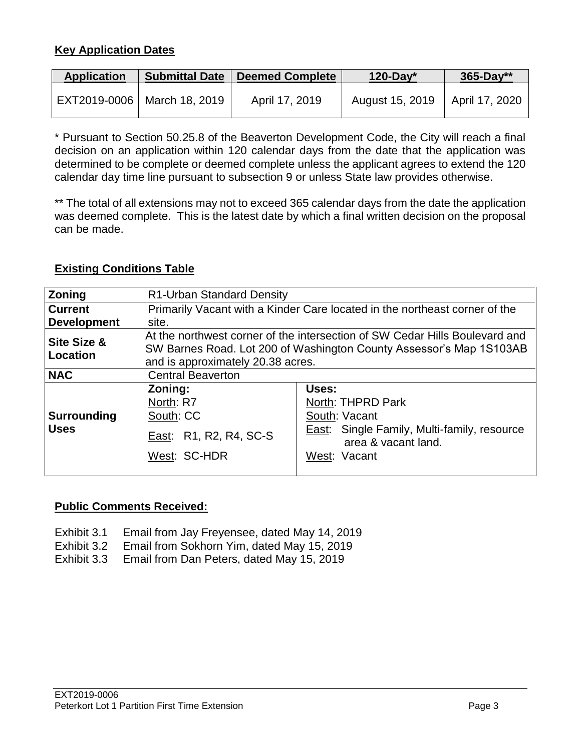## **Key Application Dates**

| <b>Application</b> | <b>Submittal Date</b>         | <b>Deemed Complete</b> | 120-Day*        | $365 - Day**$  |
|--------------------|-------------------------------|------------------------|-----------------|----------------|
|                    | EXT2019-0006   March 18, 2019 | April 17, 2019         | August 15, 2019 | April 17, 2020 |

\* Pursuant to Section 50.25.8 of the Beaverton Development Code, the City will reach a final decision on an application within 120 calendar days from the date that the application was determined to be complete or deemed complete unless the applicant agrees to extend the 120 calendar day time line pursuant to subsection 9 or unless State law provides otherwise.

\*\* The total of all extensions may not to exceed 365 calendar days from the date the application was deemed complete. This is the latest date by which a final written decision on the proposal can be made.

## **Existing Conditions Table**

| <b>Zoning</b>                      | R1-Urban Standard Density                                                                                                                                                               |                                                                                                                                   |  |  |
|------------------------------------|-----------------------------------------------------------------------------------------------------------------------------------------------------------------------------------------|-----------------------------------------------------------------------------------------------------------------------------------|--|--|
| <b>Current</b>                     | Primarily Vacant with a Kinder Care located in the northeast corner of the                                                                                                              |                                                                                                                                   |  |  |
| <b>Development</b>                 | site.                                                                                                                                                                                   |                                                                                                                                   |  |  |
| <b>Site Size &amp;</b><br>Location | At the northwest corner of the intersection of SW Cedar Hills Boulevard and<br>SW Barnes Road. Lot 200 of Washington County Assessor's Map 1S103AB<br>and is approximately 20.38 acres. |                                                                                                                                   |  |  |
| <b>NAC</b>                         | <b>Central Beaverton</b>                                                                                                                                                                |                                                                                                                                   |  |  |
| Surrounding<br><b>Uses</b>         | Zoning:<br>North: R7<br>South: CC<br>East: R1, R2, R4, SC-S<br>West: SC-HDR                                                                                                             | Uses:<br>North: THPRD Park<br>South: Vacant<br>East: Single Family, Multi-family, resource<br>area & vacant land.<br>West: Vacant |  |  |

## **Public Comments Received:**

- Exhibit 3.1 Email from Jay Freyensee, dated May 14, 2019
- Exhibit 3.2 Email from Sokhorn Yim, dated May 15, 2019<br>Exhibit 3.3 Email from Dan Peters, dated May 15, 2019
- Email from Dan Peters, dated May 15, 2019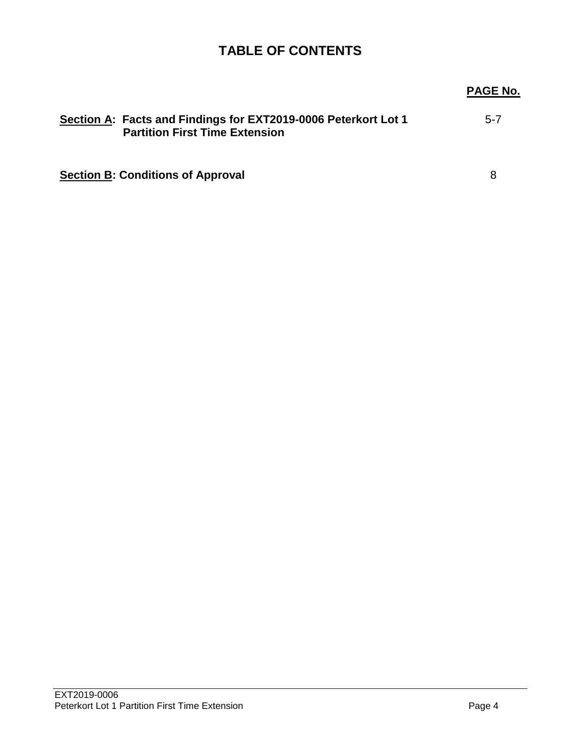## **TABLE OF CONTENTS**

## **PAGE No. Section A: Facts and Findings for EXT2019-0006 Peterkort Lot 1 Partition First Time Extension** 5-7 **Section B: Conditions of Approval** 8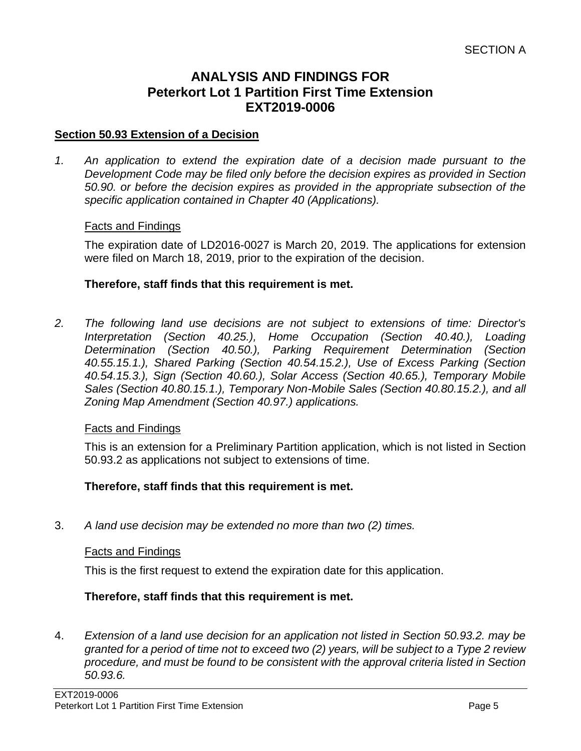## **ANALYSIS AND FINDINGS FOR Peterkort Lot 1 Partition First Time Extension EXT2019-0006**

#### **Section 50.93 Extension of a Decision**

*1. An application to extend the expiration date of a decision made pursuant to the Development Code may be filed only before the decision expires as provided in Section 50.90. or before the decision expires as provided in the appropriate subsection of the specific application contained in Chapter 40 (Applications).*

#### Facts and Findings

The expiration date of LD2016-0027 is March 20, 2019. The applications for extension were filed on March 18, 2019, prior to the expiration of the decision.

#### **Therefore, staff finds that this requirement is met.**

*2. The following land use decisions are not subject to extensions of time: Director's Interpretation (Section 40.25.), Home Occupation (Section 40.40.), Loading Determination (Section 40.50.), Parking Requirement Determination (Section 40.55.15.1.), Shared Parking (Section 40.54.15.2.), Use of Excess Parking (Section 40.54.15.3.), Sign (Section 40.60.), Solar Access (Section 40.65.), Temporary Mobile Sales (Section 40.80.15.1.), Temporary Non-Mobile Sales (Section 40.80.15.2.), and all Zoning Map Amendment (Section 40.97.) applications.*

#### Facts and Findings

This is an extension for a Preliminary Partition application, which is not listed in Section 50.93.2 as applications not subject to extensions of time.

#### **Therefore, staff finds that this requirement is met.**

3. *A land use decision may be extended no more than two (2) times.*

#### Facts and Findings

This is the first request to extend the expiration date for this application.

## **Therefore, staff finds that this requirement is met.**

4. *Extension of a land use decision for an application not listed in Section 50.93.2. may be granted for a period of time not to exceed two (2) years, will be subject to a Type 2 review procedure, and must be found to be consistent with the approval criteria listed in Section 50.93.6.*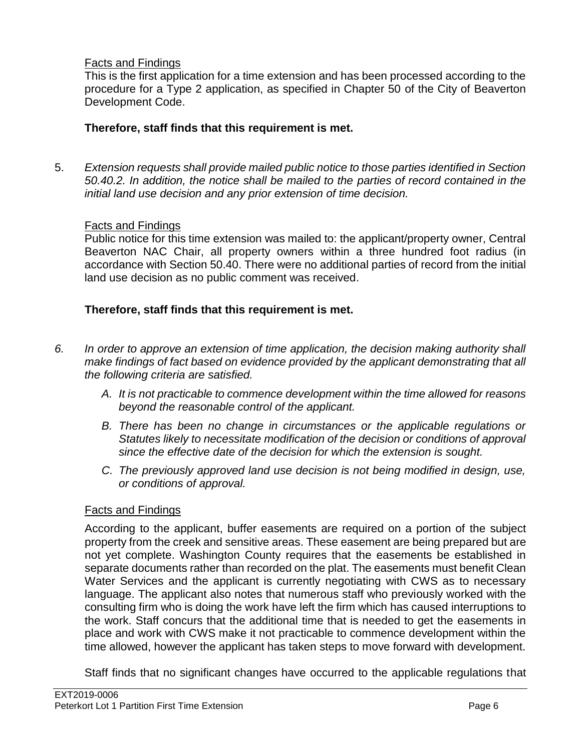## Facts and Findings

This is the first application for a time extension and has been processed according to the procedure for a Type 2 application, as specified in Chapter 50 of the City of Beaverton Development Code.

## **Therefore, staff finds that this requirement is met.**

5. *Extension requests shall provide mailed public notice to those parties identified in Section 50.40.2. In addition, the notice shall be mailed to the parties of record contained in the initial land use decision and any prior extension of time decision.*

## Facts and Findings

Public notice for this time extension was mailed to: the applicant/property owner, Central Beaverton NAC Chair, all property owners within a three hundred foot radius (in accordance with Section 50.40. There were no additional parties of record from the initial land use decision as no public comment was received.

## **Therefore, staff finds that this requirement is met.**

- *6. In order to approve an extension of time application, the decision making authority shall make findings of fact based on evidence provided by the applicant demonstrating that all the following criteria are satisfied.* 
	- *A. It is not practicable to commence development within the time allowed for reasons beyond the reasonable control of the applicant.*
	- *B. There has been no change in circumstances or the applicable regulations or Statutes likely to necessitate modification of the decision or conditions of approval since the effective date of the decision for which the extension is sought.*
	- *C. The previously approved land use decision is not being modified in design, use, or conditions of approval.*

## Facts and Findings

According to the applicant, buffer easements are required on a portion of the subject property from the creek and sensitive areas. These easement are being prepared but are not yet complete. Washington County requires that the easements be established in separate documents rather than recorded on the plat. The easements must benefit Clean Water Services and the applicant is currently negotiating with CWS as to necessary language. The applicant also notes that numerous staff who previously worked with the consulting firm who is doing the work have left the firm which has caused interruptions to the work. Staff concurs that the additional time that is needed to get the easements in place and work with CWS make it not practicable to commence development within the time allowed, however the applicant has taken steps to move forward with development.

Staff finds that no significant changes have occurred to the applicable regulations that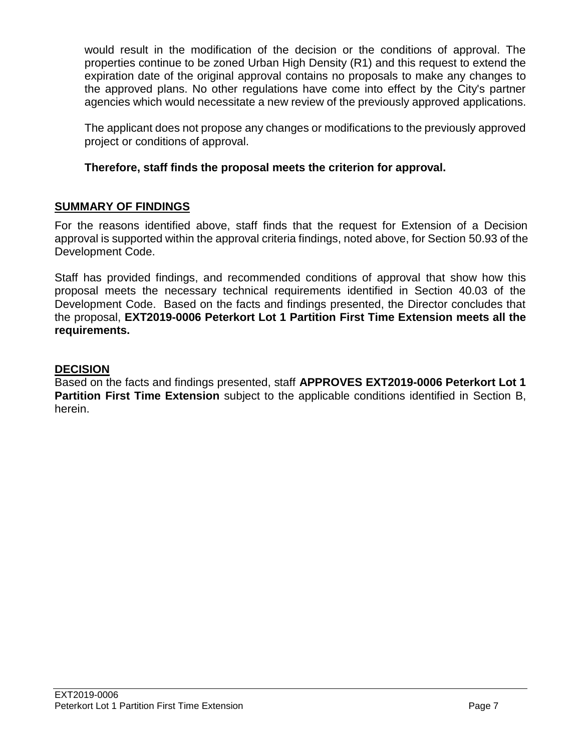would result in the modification of the decision or the conditions of approval. The properties continue to be zoned Urban High Density (R1) and this request to extend the expiration date of the original approval contains no proposals to make any changes to the approved plans. No other regulations have come into effect by the City's partner agencies which would necessitate a new review of the previously approved applications.

The applicant does not propose any changes or modifications to the previously approved project or conditions of approval.

## **Therefore, staff finds the proposal meets the criterion for approval.**

## **SUMMARY OF FINDINGS**

For the reasons identified above, staff finds that the request for Extension of a Decision approval is supported within the approval criteria findings, noted above, for Section 50.93 of the Development Code.

Staff has provided findings, and recommended conditions of approval that show how this proposal meets the necessary technical requirements identified in Section 40.03 of the Development Code. Based on the facts and findings presented, the Director concludes that the proposal, **EXT2019-0006 Peterkort Lot 1 Partition First Time Extension meets all the requirements.**

## **DECISION**

Based on the facts and findings presented, staff **APPROVES EXT2019-0006 Peterkort Lot 1 Partition First Time Extension** subject to the applicable conditions identified in Section B, herein.